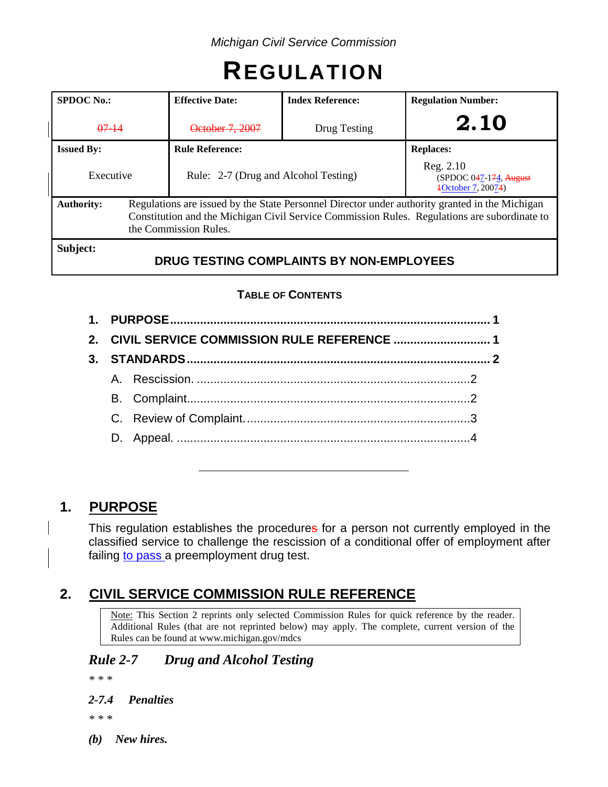# **REGULATION**

| <b>SPDOC</b> No.:                                    | <b>Effective Date:</b>                                                                                                                                                                                                  | <b>Index Reference:</b> | <b>Regulation Number:</b>                                    |  |
|------------------------------------------------------|-------------------------------------------------------------------------------------------------------------------------------------------------------------------------------------------------------------------------|-------------------------|--------------------------------------------------------------|--|
| $07 - 14$                                            | October 7, 2007                                                                                                                                                                                                         | Drug Testing            | 2.10                                                         |  |
| <b>Issued By:</b>                                    | <b>Rule Reference:</b>                                                                                                                                                                                                  |                         | <b>Replaces:</b>                                             |  |
| Executive                                            | Rule: 2-7 (Drug and Alcohol Testing)                                                                                                                                                                                    |                         | Reg. 2.10<br>$(SPDOC 047-174, August)$<br>4October 7, 20074) |  |
| <b>Authority:</b>                                    | Regulations are issued by the State Personnel Director under authority granted in the Michigan<br>Constitution and the Michigan Civil Service Commission Rules. Regulations are subordinate to<br>the Commission Rules. |                         |                                                              |  |
| Subject:<br>DRUG TESTING COMPLAINTS BY NON-EMPLOYEES |                                                                                                                                                                                                                         |                         |                                                              |  |

## **TABLE OF CONTENTS**

|  | 2. CIVIL SERVICE COMMISSION RULE REFERENCE  1 |  |  |
|--|-----------------------------------------------|--|--|
|  |                                               |  |  |
|  |                                               |  |  |
|  |                                               |  |  |
|  |                                               |  |  |
|  |                                               |  |  |
|  |                                               |  |  |
|  |                                               |  |  |

# **1. PURPOSE**

This regulation establishes the procedures for a person not currently employed in the classified service to challenge the rescission of a conditional offer of employment after failing to pass a preemployment drug test.

# **2. CIVIL SERVICE COMMISSION RULE REFERENCE**

Note: This Section 2 reprints only selected Commission Rules for quick reference by the reader. Additional Rules (that are not reprinted below) may apply. The complete, current version of the Rules can be found at www.michigan.gov/mdcs

# *Rule 2-7 Drug and Alcohol Testing*

*\* \* \**

## *2-7.4 Penalties*

*\* \* \**

*(b) New hires.*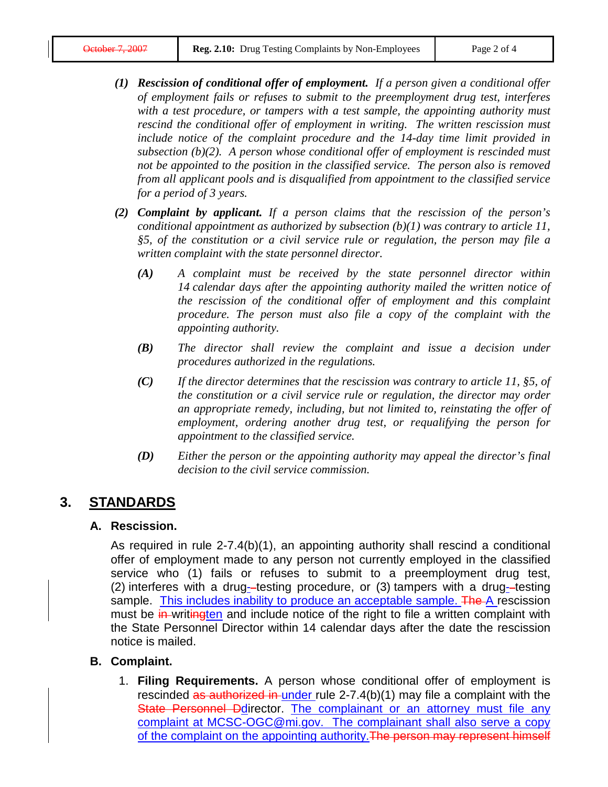- *(1) Rescission of conditional offer of employment. If a person given a conditional offer of employment fails or refuses to submit to the preemployment drug test, interferes with a test procedure, or tampers with a test sample, the appointing authority must rescind the conditional offer of employment in writing. The written rescission must include notice of the complaint procedure and the 14-day time limit provided in subsection (b)(2). A person whose conditional offer of employment is rescinded must not be appointed to the position in the classified service. The person also is removed from all applicant pools and is disqualified from appointment to the classified service for a period of 3 years.*
- *(2) Complaint by applicant. If a person claims that the rescission of the person's conditional appointment as authorized by subsection (b)(1) was contrary to article 11, §5, of the constitution or a civil service rule or regulation, the person may file a written complaint with the state personnel director.*
	- *(A) A complaint must be received by the state personnel director within 14 calendar days after the appointing authority mailed the written notice of the rescission of the conditional offer of employment and this complaint procedure. The person must also file a copy of the complaint with the appointing authority.*
	- *(B) The director shall review the complaint and issue a decision under procedures authorized in the regulations.*
	- *(C) If the director determines that the rescission was contrary to article 11, §5, of the constitution or a civil service rule or regulation, the director may order an appropriate remedy, including, but not limited to, reinstating the offer of employment, ordering another drug test, or requalifying the person for appointment to the classified service.*
	- *(D) Either the person or the appointing authority may appeal the director's final decision to the civil service commission.*

# **3. STANDARDS**

### **A. Rescission.**

As required in rule 2-7.4(b)(1), an appointing authority shall rescind a conditional offer of employment made to any person not currently employed in the classified service who (1) fails or refuses to submit to a preemployment drug test,  $(2)$  interferes with a drug--testing procedure, or  $(3)$  tampers with a drug--testing sample. This includes inability to produce an acceptable sample. The A rescission must be in writingten and include notice of the right to file a written complaint with the State Personnel Director within 14 calendar days after the date the rescission notice is mailed.

### **B. Complaint.**

1. **Filing Requirements.** A person whose conditional offer of employment is rescinded as authorized in under rule 2-7.4(b)(1) may file a complaint with the State Personnel Ddirector. The complainant or an attorney must file any complaint at [MCSC-OGC@mi.gov.](mailto:MCSC-OGC@mi.gov) The complainant shall also serve a copy of the complaint on the appointing authority. The person may represent himself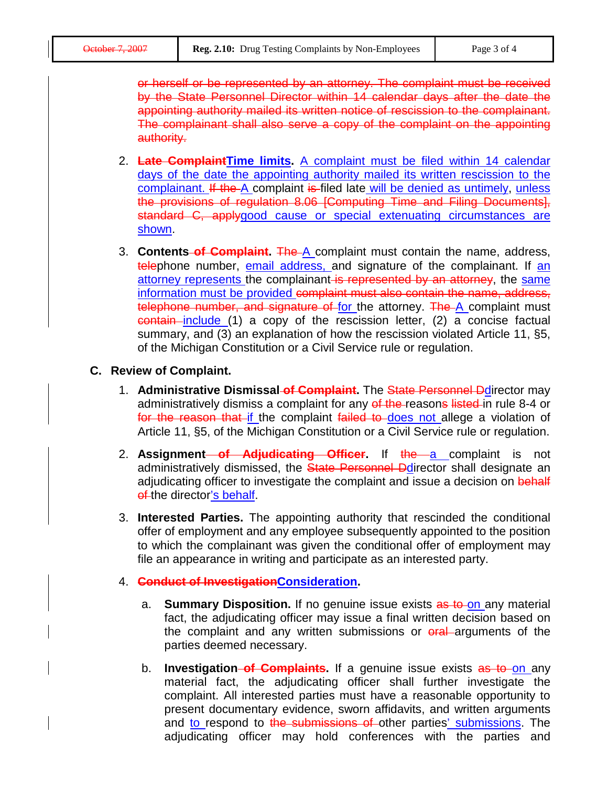or herself or be represented by an attorney. The complaint must be received by the State Personnel Director within 14 calendar days after the date the appointing authority mailed its written notice of rescission to the complainant. The complainant shall also serve a copy of the complaint on the appointing authority.

- 2. **Late ComplaintTime limits.** A complaint must be filed within 14 calendar days of the date the appointing authority mailed its written rescission to the complainant. If the A complaint is filed late will be denied as untimely, unless the provisions of regulation 8.06 [Computing Time and Filing Documents], standard C, applygood cause or special extenuating circumstances are shown.
- 3. **Contents of Complaint.** The A complaint must contain the name, address, telephone number, email address, and signature of the complainant. If an attorney represents the complainant is represented by an attorney, the same information must be provided complaint must also contain the name, address, telephone number, and signature of for the attorney. The A complaint must contain include (1) a copy of the rescission letter, (2) a concise factual summary, and (3) an explanation of how the rescission violated Article 11, §5, of the Michigan Constitution or a Civil Service rule or regulation.

#### **C. Review of Complaint.**

- 1. **Administrative Dismissal of Complaint.** The State Personnel Ddirector may administratively dismiss a complaint for any of the reasons listed in rule 8-4 or for the reason that if the complaint failed to does not allege a violation of Article 11, §5, of the Michigan Constitution or a Civil Service rule or regulation.
- 2. **Assignment of Adjudicating Officer.** If the a complaint is not administratively dismissed, the State Personnel Ddirector shall designate an adjudicating officer to investigate the complaint and issue a decision on behalf of the director's behalf.
- 3. **Interested Parties.** The appointing authority that rescinded the conditional offer of employment and any employee subsequently appointed to the position to which the complainant was given the conditional offer of employment may file an appearance in writing and participate as an interested party.
- 4. **Conduct of InvestigationConsideration.**
	- a. **Summary Disposition.** If no genuine issue exists as to on any material fact, the adjudicating officer may issue a final written decision based on the complaint and any written submissions or  $\theta$  and arguments of the parties deemed necessary.
	- b. **Investigation of Complaints.** If a genuine issue exists as to on any material fact, the adjudicating officer shall further investigate the complaint. All interested parties must have a reasonable opportunity to present documentary evidence, sworn affidavits, and written arguments and to respond to the submissions of other parties' submissions. The adjudicating officer may hold conferences with the parties and